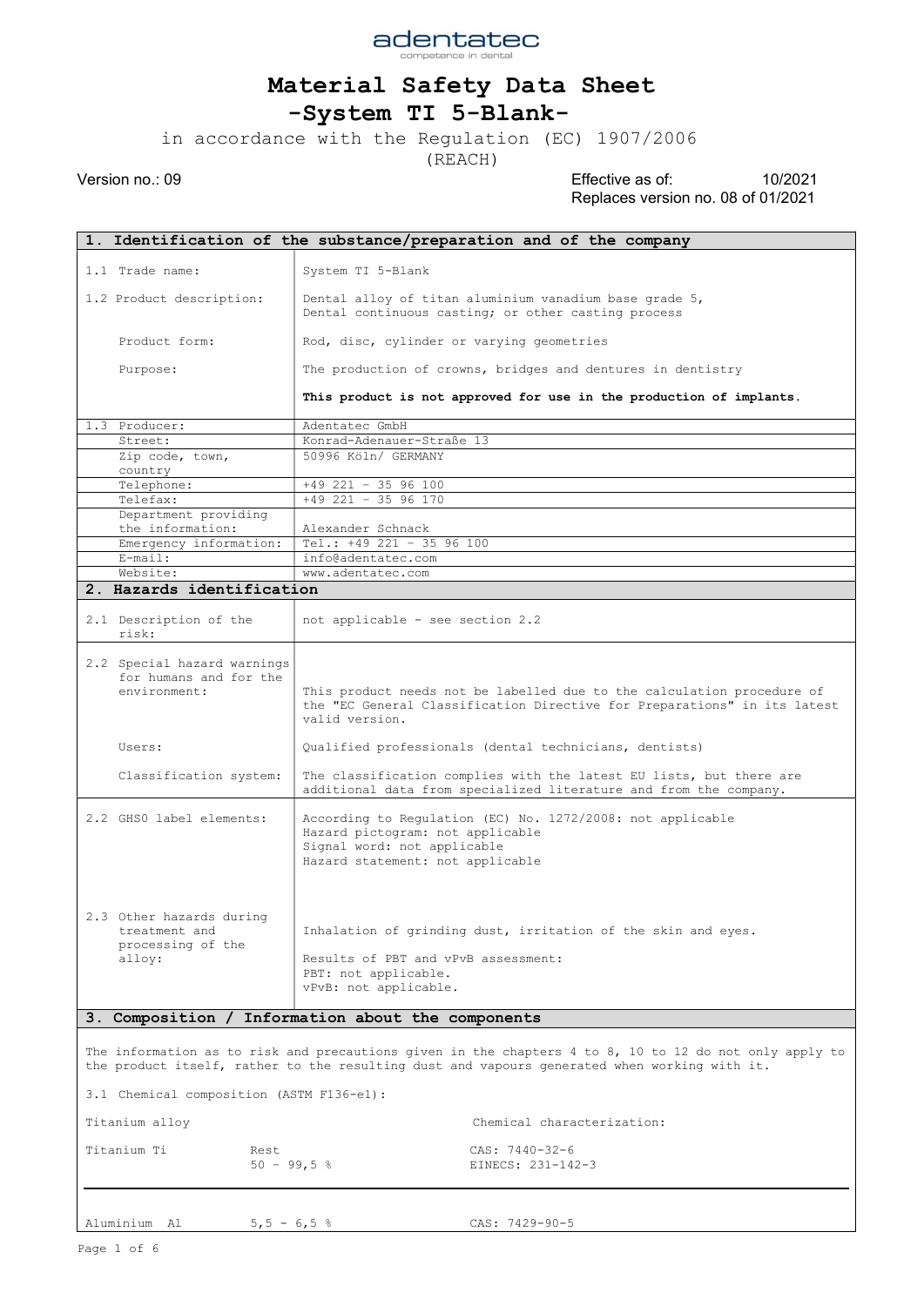

-System TI 5-Blank-

in accordance with the Regulation (EC) 1907/2006

(REACH)

|                                                                                                                                                                                                                                                    | 1. Identification of the substance/preparation and of the company                                                                                                                                                                 |                                                                                                                                                                      |  |  |  |  |  |
|----------------------------------------------------------------------------------------------------------------------------------------------------------------------------------------------------------------------------------------------------|-----------------------------------------------------------------------------------------------------------------------------------------------------------------------------------------------------------------------------------|----------------------------------------------------------------------------------------------------------------------------------------------------------------------|--|--|--|--|--|
|                                                                                                                                                                                                                                                    |                                                                                                                                                                                                                                   |                                                                                                                                                                      |  |  |  |  |  |
|                                                                                                                                                                                                                                                    | 1.1 Trade name:                                                                                                                                                                                                                   | System TI 5-Blank                                                                                                                                                    |  |  |  |  |  |
|                                                                                                                                                                                                                                                    | 1.2 Product description:                                                                                                                                                                                                          | Dental alloy of titan aluminium vanadium base grade 5,<br>Dental continuous casting; or other casting process                                                        |  |  |  |  |  |
|                                                                                                                                                                                                                                                    | Product form:                                                                                                                                                                                                                     | Rod, disc, cylinder or varying geometries                                                                                                                            |  |  |  |  |  |
|                                                                                                                                                                                                                                                    | Purpose:                                                                                                                                                                                                                          | The production of crowns, bridges and dentures in dentistry                                                                                                          |  |  |  |  |  |
|                                                                                                                                                                                                                                                    |                                                                                                                                                                                                                                   | This product is not approved for use in the production of implants.                                                                                                  |  |  |  |  |  |
|                                                                                                                                                                                                                                                    | 1.3 Producer:                                                                                                                                                                                                                     | Adentatec GmbH                                                                                                                                                       |  |  |  |  |  |
|                                                                                                                                                                                                                                                    | Street:                                                                                                                                                                                                                           | Konrad-Adenauer-Straße 13                                                                                                                                            |  |  |  |  |  |
|                                                                                                                                                                                                                                                    | Zip code, town,<br>country                                                                                                                                                                                                        | 50996 Köln/ GERMANY                                                                                                                                                  |  |  |  |  |  |
|                                                                                                                                                                                                                                                    | Telephone:                                                                                                                                                                                                                        | $+49$ 221 - 35 96 100                                                                                                                                                |  |  |  |  |  |
|                                                                                                                                                                                                                                                    | Telefax:                                                                                                                                                                                                                          | $+49$ 221 - 35 96 170                                                                                                                                                |  |  |  |  |  |
|                                                                                                                                                                                                                                                    | Department providing                                                                                                                                                                                                              |                                                                                                                                                                      |  |  |  |  |  |
|                                                                                                                                                                                                                                                    | the information:                                                                                                                                                                                                                  | Alexander Schnack                                                                                                                                                    |  |  |  |  |  |
|                                                                                                                                                                                                                                                    | Emergency information:                                                                                                                                                                                                            | Tel.: $+49$ 221 - 35 96 100                                                                                                                                          |  |  |  |  |  |
|                                                                                                                                                                                                                                                    | $E$ -mail:                                                                                                                                                                                                                        | info@adentatec.com                                                                                                                                                   |  |  |  |  |  |
|                                                                                                                                                                                                                                                    | Website:                                                                                                                                                                                                                          | www.adentatec.com                                                                                                                                                    |  |  |  |  |  |
|                                                                                                                                                                                                                                                    | 2. Hazards identification                                                                                                                                                                                                         |                                                                                                                                                                      |  |  |  |  |  |
|                                                                                                                                                                                                                                                    | 2.1 Description of the<br>risk:                                                                                                                                                                                                   | not applicable - see section 2.2                                                                                                                                     |  |  |  |  |  |
|                                                                                                                                                                                                                                                    | 2.2 Special hazard warnings<br>for humans and for the<br>environment:                                                                                                                                                             | This product needs not be labelled due to the calculation procedure of<br>the "EC General Classification Directive for Preparations" in its latest<br>valid version. |  |  |  |  |  |
|                                                                                                                                                                                                                                                    | Users:                                                                                                                                                                                                                            | Qualified professionals (dental technicians, dentists)                                                                                                               |  |  |  |  |  |
|                                                                                                                                                                                                                                                    | Classification system:                                                                                                                                                                                                            | The classification complies with the latest EU lists, but there are<br>additional data from specialized literature and from the company.                             |  |  |  |  |  |
|                                                                                                                                                                                                                                                    | 2.2 GHSO label elements:                                                                                                                                                                                                          | According to Regulation (EC) No. 1272/2008: not applicable<br>Hazard pictogram: not applicable<br>Signal word: not applicable<br>Hazard statement: not applicable    |  |  |  |  |  |
|                                                                                                                                                                                                                                                    | 2.3 Other hazards during<br>Inhalation of grinding dust, irritation of the skin and eyes.<br>treatment and<br>processing of the<br>Results of PBT and vPvB assessment:<br>alloy:<br>PBT: not applicable.<br>vPvB: not applicable. |                                                                                                                                                                      |  |  |  |  |  |
| 3. Composition / Information about the components                                                                                                                                                                                                  |                                                                                                                                                                                                                                   |                                                                                                                                                                      |  |  |  |  |  |
| The information as to risk and precautions given in the chapters 4 to 8, 10 to 12 do not only apply to<br>the product itself, rather to the resulting dust and vapours generated when working with it.<br>3.1 Chemical composition (ASTM F136-e1): |                                                                                                                                                                                                                                   |                                                                                                                                                                      |  |  |  |  |  |
| Chemical characterization:<br>Titanium alloy                                                                                                                                                                                                       |                                                                                                                                                                                                                                   |                                                                                                                                                                      |  |  |  |  |  |
|                                                                                                                                                                                                                                                    |                                                                                                                                                                                                                                   |                                                                                                                                                                      |  |  |  |  |  |
|                                                                                                                                                                                                                                                    | Titanium Ti<br>Rest<br>$50 - 99, 5$ %                                                                                                                                                                                             | CAS: 7440-32-6<br>EINECS: 231-142-3                                                                                                                                  |  |  |  |  |  |
|                                                                                                                                                                                                                                                    | Aluminium Al<br>$5, 5 - 6, 5$ %                                                                                                                                                                                                   | CAS: 7429-90-5                                                                                                                                                       |  |  |  |  |  |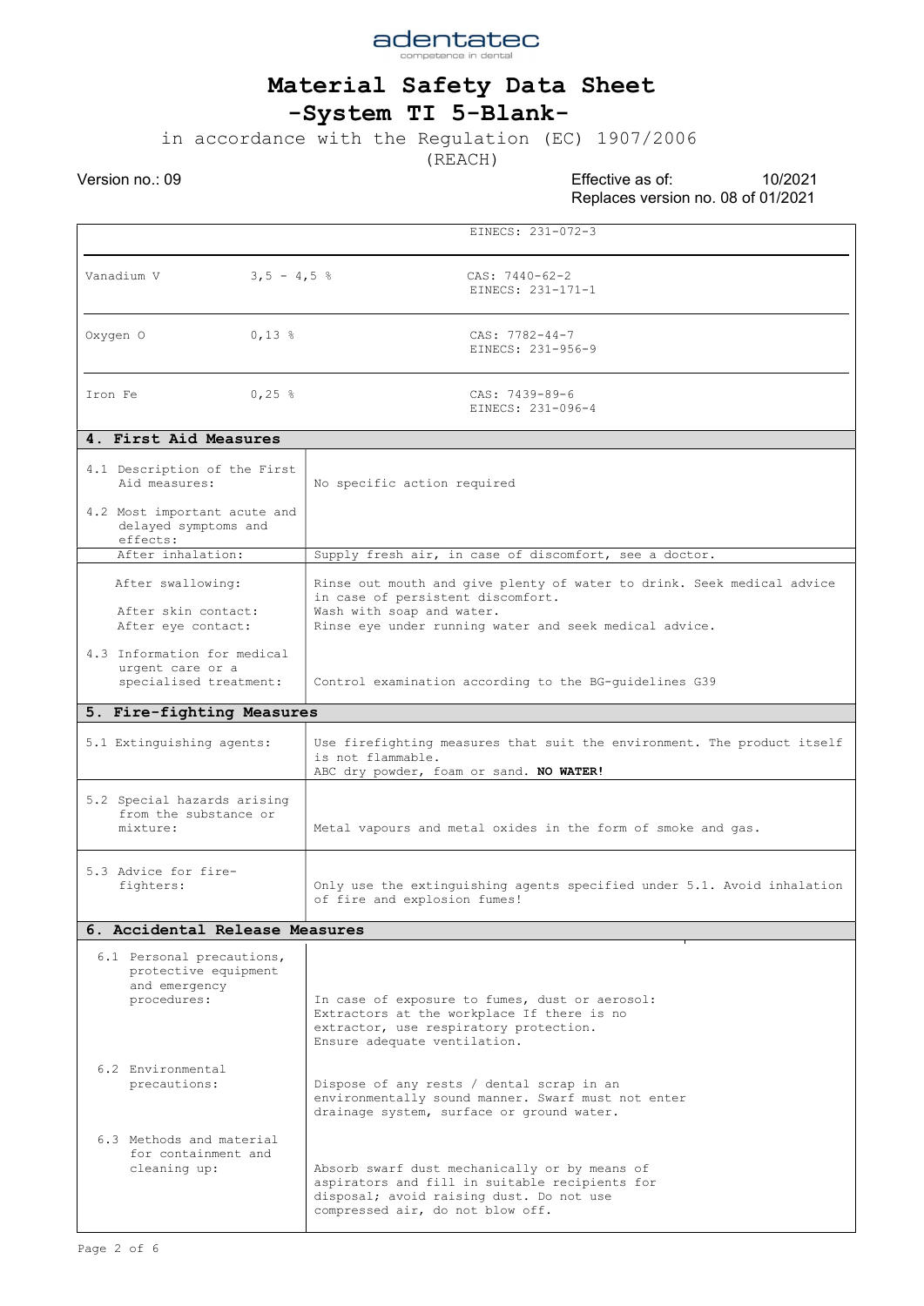

## -System TI 5-Blank-

in accordance with the Regulation (EC) 1907/2006

(REACH)

|                                                                                   | EINECS: 231-072-3                                                                                                                                                                                  |  |  |  |  |  |  |  |
|-----------------------------------------------------------------------------------|----------------------------------------------------------------------------------------------------------------------------------------------------------------------------------------------------|--|--|--|--|--|--|--|
| Vanadium V<br>$3,5 - 4,5$ %                                                       | CAS: $7440-62-2$<br>EINECS: 231-171-1                                                                                                                                                              |  |  |  |  |  |  |  |
| Oxygen O<br>$0,13$ %                                                              | $CAS: 7782-44-7$<br>EINECS: 231-956-9                                                                                                                                                              |  |  |  |  |  |  |  |
| 0,25 $\frac{8}{3}$<br>Iron Fe                                                     | CAS: 7439-89-6<br>EINECS: 231-096-4                                                                                                                                                                |  |  |  |  |  |  |  |
| 4. First Aid Measures                                                             |                                                                                                                                                                                                    |  |  |  |  |  |  |  |
| 4.1 Description of the First<br>Aid measures:                                     | No specific action required                                                                                                                                                                        |  |  |  |  |  |  |  |
| 4.2 Most important acute and<br>delayed symptoms and<br>effects:                  |                                                                                                                                                                                                    |  |  |  |  |  |  |  |
| After inhalation:                                                                 | Supply fresh air, in case of discomfort, see a doctor.                                                                                                                                             |  |  |  |  |  |  |  |
| After swallowing:<br>After skin contact:<br>After eye contact:                    | Rinse out mouth and give plenty of water to drink. Seek medical advice<br>in case of persistent discomfort.<br>Wash with soap and water.<br>Rinse eye under running water and seek medical advice. |  |  |  |  |  |  |  |
| 4.3 Information for medical<br>urgent care or a<br>specialised treatment:         | Control examination according to the BG-quidelines G39                                                                                                                                             |  |  |  |  |  |  |  |
| 5. Fire-fighting Measures                                                         |                                                                                                                                                                                                    |  |  |  |  |  |  |  |
| 5.1 Extinguishing agents:                                                         | Use firefighting measures that suit the environment. The product itself<br>is not flammable.<br>ABC dry powder, foam or sand. NO WATER!                                                            |  |  |  |  |  |  |  |
| 5.2 Special hazards arising<br>from the substance or<br>mixture:                  | Metal vapours and metal oxides in the form of smoke and gas.                                                                                                                                       |  |  |  |  |  |  |  |
| 5.3 Advice for fire-<br>fighters:                                                 | Only use the extinguishing agents specified under 5.1. Avoid inhalation<br>of fire and explosion fumes!                                                                                            |  |  |  |  |  |  |  |
| 6. Accidental Release Measures                                                    |                                                                                                                                                                                                    |  |  |  |  |  |  |  |
| 6.1 Personal precautions,<br>protective equipment<br>and emergency<br>procedures: | In case of exposure to fumes, dust or aerosol:<br>Extractors at the workplace If there is no<br>extractor, use respiratory protection.<br>Ensure adequate ventilation.                             |  |  |  |  |  |  |  |
| 6.2 Environmental<br>precautions:                                                 | Dispose of any rests / dental scrap in an<br>environmentally sound manner. Swarf must not enter<br>drainage system, surface or ground water.                                                       |  |  |  |  |  |  |  |
| 6.3 Methods and material<br>for containment and<br>cleaning up:                   | Absorb swarf dust mechanically or by means of<br>aspirators and fill in suitable recipients for<br>disposal; avoid raising dust. Do not use<br>compressed air, do not blow off.                    |  |  |  |  |  |  |  |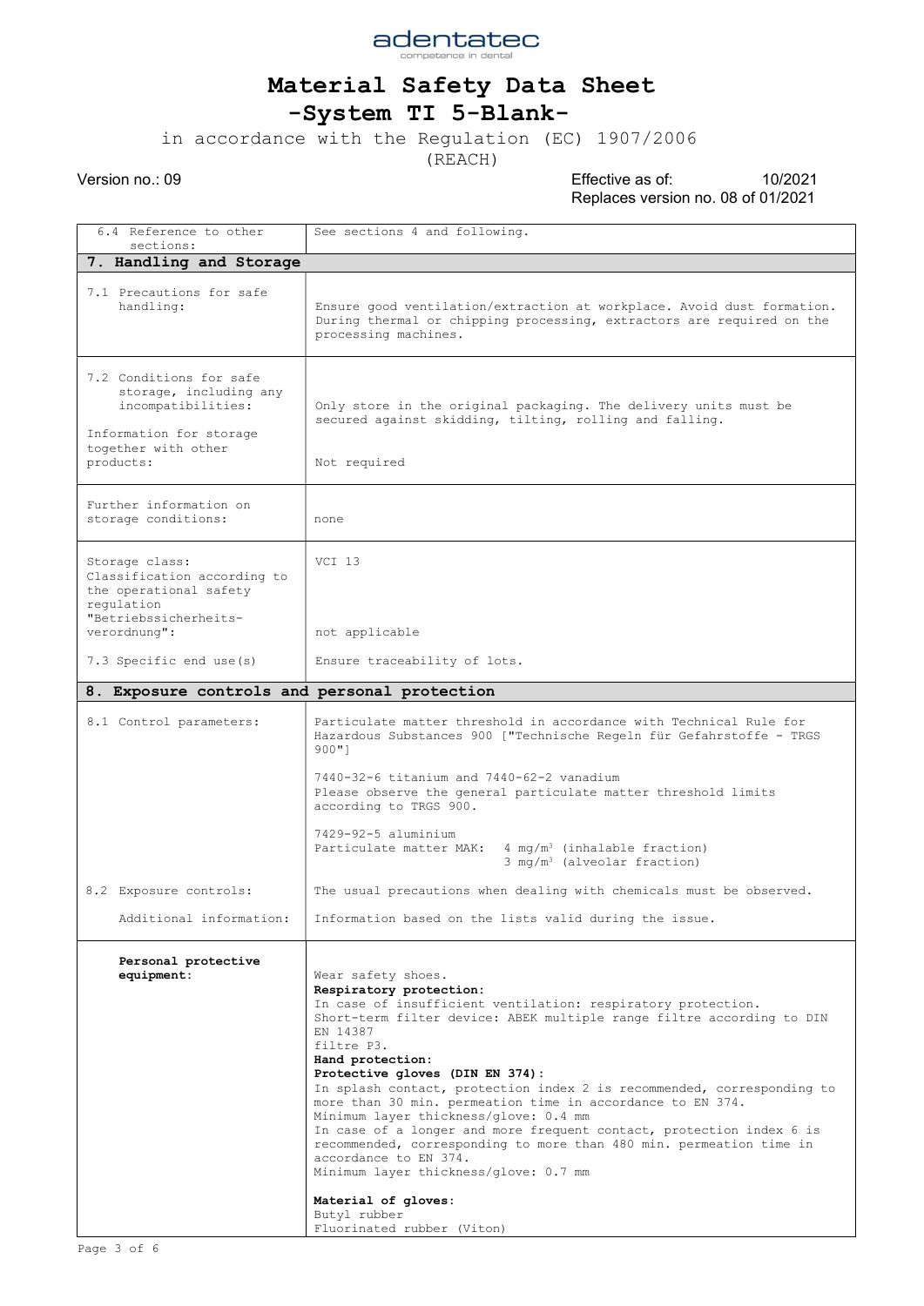

#### -System TI 5-Blank-

in accordance with the Regulation (EC) 1907/2006

(REACH)

Version no.: 09 Effective as of: 10/2021 Replaces version no. 08 of 01/2021

6.4 Reference to other sections: See sections 4 and following. 7. Handling and Storage 7.1 Precautions for safe<br>handling: Ensure good ventilation/extraction at workplace. Avoid dust formation. During thermal or chipping processing, extractors are required on the processing machines. 7.2 Conditions for safe storage, including any incompatibilities: Information for storage together with other products: Only store in the original packaging. The delivery units must be secured against skidding, tilting, rolling and falling. Not required Further information on storage conditions: | none Storage class: Classification according to the operational safety regulation "Betriebssicherheitsverordnung": 7.3 Specific end use(s) VCI 13 not applicable Ensure traceability of lots. 8. Exposure controls and personal protection 8.1 Control parameters: 8.2 Exposure controls: Additional information: Particulate matter threshold in accordance with Technical Rule for Hazardous Substances 900 ["Technische Regeln für Gefahrstoffe - TRGS 900"] 7440-32-6 titanium and 7440-62-2 vanadium Please observe the general particulate matter threshold limits according to TRGS 900. 7429-92-5 aluminium Particulate matter MAK:  $4 \text{ mg/m}^3$  (inhalable fraction) 3 mg/m<sup>3</sup> (alveolar fraction) The usual precautions when dealing with chemicals must be observed. Information based on the lists valid during the issue. Personal protective<br>equipment: Wear safety shoes. Respiratory protection: In case of insufficient ventilation: respiratory protection. Short-term filter device: ABEK multiple range filtre according to DIN EN 14387 filtre P3. Hand protection: Protective gloves (DIN EN 374): In splash contact, protection index 2 is recommended, corresponding to more than 30 min. permeation time in accordance to EN 374. Minimum layer thickness/glove: 0.4 mm In case of a longer and more frequent contact, protection index 6 is recommended, corresponding to more than 480 min. permeation time in accordance to EN 374. Minimum layer thickness/glove: 0.7 mm Material of gloves: Butyl rubber Fluorinated rubber (Viton)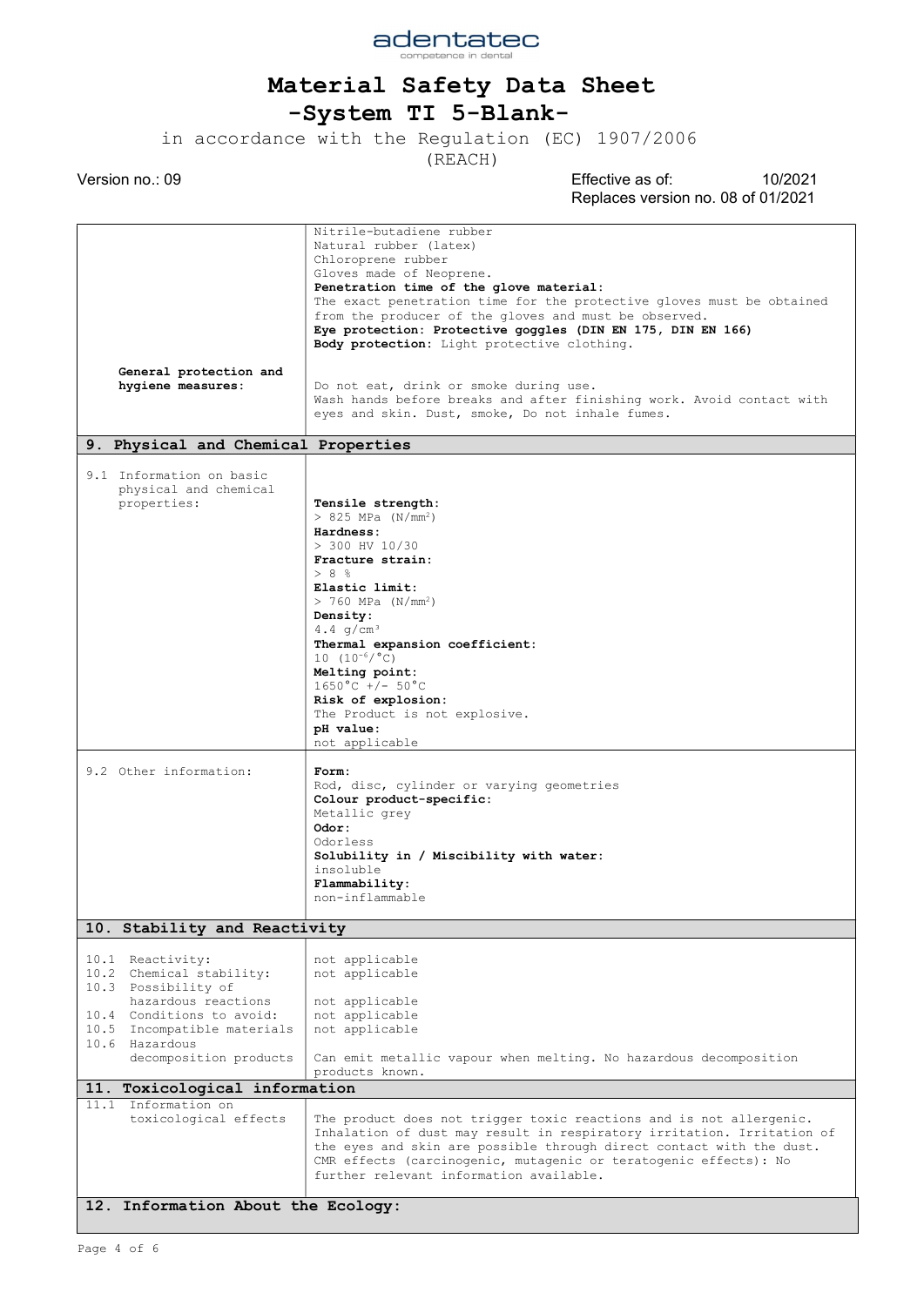

adentatec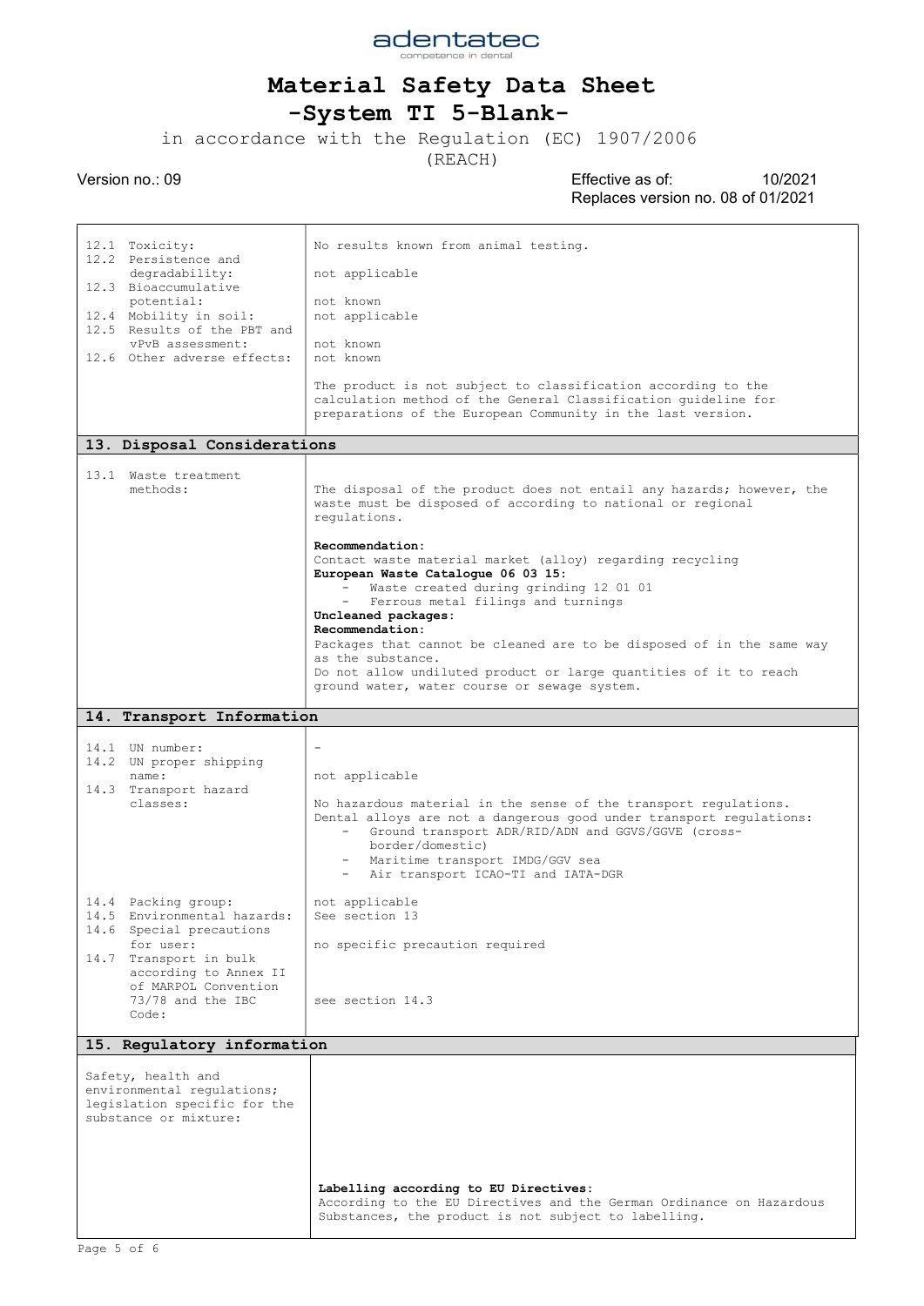

## -System TI 5-Blank-

in accordance with the Regulation (EC) 1907/2006

(REACH)

| 12.1 Toxicity:<br>12.2 Persistence and                                                                    | No results known from animal testing.                                                                                                                                                                                                                                                        |
|-----------------------------------------------------------------------------------------------------------|----------------------------------------------------------------------------------------------------------------------------------------------------------------------------------------------------------------------------------------------------------------------------------------------|
| degradability:<br>12.3 Bioaccumulative                                                                    | not applicable                                                                                                                                                                                                                                                                               |
| potential:<br>12.4 Mobility in soil:                                                                      | not known<br>not applicable                                                                                                                                                                                                                                                                  |
| 12.5 Results of the PBT and<br>vPvB assessment:                                                           | not known                                                                                                                                                                                                                                                                                    |
| 12.6 Other adverse effects:                                                                               | not known                                                                                                                                                                                                                                                                                    |
|                                                                                                           | The product is not subject to classification according to the<br>calculation method of the General Classification guideline for<br>preparations of the European Community in the last version.                                                                                               |
| 13. Disposal Considerations                                                                               |                                                                                                                                                                                                                                                                                              |
| 13.1 Waste treatment<br>methods:                                                                          | The disposal of the product does not entail any hazards; however, the<br>waste must be disposed of according to national or regional<br>regulations.                                                                                                                                         |
|                                                                                                           | Recommendation:<br>Contact waste material market (alloy) regarding recycling<br>European Waste Catalogue 06 03 15:                                                                                                                                                                           |
|                                                                                                           | Waste created during grinding 12 01 01                                                                                                                                                                                                                                                       |
|                                                                                                           | Ferrous metal filings and turnings<br>Uncleaned packages:                                                                                                                                                                                                                                    |
|                                                                                                           | Recommendation:<br>Packages that cannot be cleaned are to be disposed of in the same way                                                                                                                                                                                                     |
|                                                                                                           | as the substance.                                                                                                                                                                                                                                                                            |
|                                                                                                           | Do not allow undiluted product or large quantities of it to reach<br>ground water, water course or sewage system.                                                                                                                                                                            |
| 14. Transport Information                                                                                 |                                                                                                                                                                                                                                                                                              |
| 14.1 UN number:                                                                                           |                                                                                                                                                                                                                                                                                              |
| 14.2 UN proper shipping                                                                                   |                                                                                                                                                                                                                                                                                              |
| name:<br>14.3 Transport hazard                                                                            | not applicable                                                                                                                                                                                                                                                                               |
| classes:                                                                                                  | No hazardous material in the sense of the transport regulations.<br>Dental alloys are not a dangerous good under transport regulations:<br>Ground transport ADR/RID/ADN and GGVS/GGVE (cross-<br>border/domestic)<br>- Maritime transport IMDG/GGV sea<br>Air transport ICAO-TI and IATA-DGR |
| 14.4 Packing group:                                                                                       | not applicable<br>See section 13                                                                                                                                                                                                                                                             |
| 14.5 Environmental hazards:<br>14.6 Special precautions                                                   |                                                                                                                                                                                                                                                                                              |
| for user:<br>14.7 Transport in bulk                                                                       | no specific precaution required                                                                                                                                                                                                                                                              |
| according to Annex II<br>of MARPOL Convention<br>73/78 and the IBC<br>Code:                               | see section 14.3                                                                                                                                                                                                                                                                             |
| 15. Regulatory information                                                                                |                                                                                                                                                                                                                                                                                              |
| Safety, health and<br>environmental regulations;<br>legislation specific for the<br>substance or mixture: |                                                                                                                                                                                                                                                                                              |
|                                                                                                           |                                                                                                                                                                                                                                                                                              |
|                                                                                                           | Labelling according to EU Directives:<br>According to the EU Directives and the German Ordinance on Hazardous                                                                                                                                                                                |
|                                                                                                           | Substances, the product is not subject to labelling.                                                                                                                                                                                                                                         |
|                                                                                                           |                                                                                                                                                                                                                                                                                              |